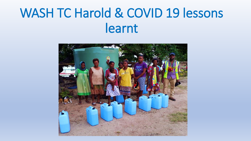# WASH TC Harold & COVID 19 lessons learnt

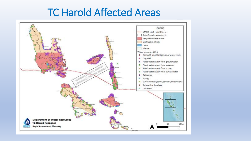## TC Harold Affected Areas

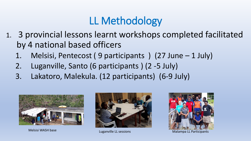## LL Methodology

- 1. 3 provincial lessons learnt workshops completed facilitated by 4 national based officers
	- 1. Melsisi, Pentecost ( 9 participants ) (27 June 1 July)
	- 2. Luganville, Santo (6 participants ) (2 -5 July)
	- 3. Lakatoro, Malekula. (12 participants) (6-9 July)







Melsisi WASH base Luganville LL sessions Melsisi WASH base Lugants Cup and Malampa LL Participants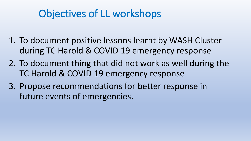## Objectives of LL workshops

- 1. To document positive lessons learnt by WASH Cluster during TC Harold & COVID 19 emergency response
- 2. To document thing that did not work as well during the TC Harold & COVID 19 emergency response
- 3. Propose recommendations for better response in future events of emergencies.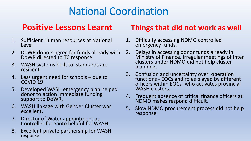## National Coordination

- 1. Sufficient Human resources at National Level
- 2. DoWR donors agree for funds already with DoWR directed to TC response
- 3. WASH systems built to standards are resilient
- 4. Less urgent need for schools due to COVID 19
- 5. Developed WASH emergency plan helped donor to action immediate funding support to DoWR.
- 6. WASH linkage with Gender Cluster was excellent.
- 7. Director of Water appointment as Controller for Santo helpful for WASH.
- 8. Excellent private partnership for WASH response

#### **Positive Lessons Learnt Things that did not work as well**

- 1. Difficulty accessing NDMO controlled emergency funds.
- 2. Delays in accessing donor funds already in Ministry of Finance. Irregular meetings of inter clusters under NDMO did not help cluster planning.
- 3. Confusion and uncertainty over operation functions - EOCs and roles played by different officers within EOCs- who activates provincial WASH clusters.
- 4. Frequent absence of critical finance officers at NDMO makes respond difficult.
- 5. Slow NDMO procurement process did not help response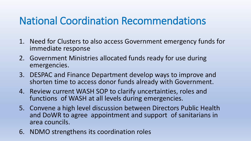## National Coordination Recommendations

- 1. Need for Clusters to also access Government emergency funds for immediate response
- 2. Government Ministries allocated funds ready for use during emergencies.
- 3. DESPAC and Finance Department develop ways to improve and shorten time to access donor funds already with Government.
- 4. Review current WASH SOP to clarify uncertainties, roles and functions of WASH at all levels during emergencies.
- 5. Convene a high level discussion between Directors Public Health and DoWR to agree appointment and support of sanitarians in area councils.
- 6. NDMO strengthens its coordination roles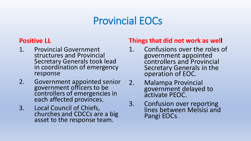## Provincial EOCs

#### **Positive LL**

- 1. Provincial Government structures and Provincial Secretary Generals took lead in coordination of emergency response
- 2. Government appointed senior government officers to be controllers of emergencies in each affected provinces.
- 3. Local Council of Chiefs, churches and CDCCs are a big asset to the response team.

#### **Things that did not work as well**

- 1. Confusions over the roles of government appointed controllers and Provincial Secretary Generals in the operation of EOC.
- 2. Malampa Provincial government delayed to activate PEOC.
- 3. Confusion over reporting lines between Melsisi and Pangi EOCs.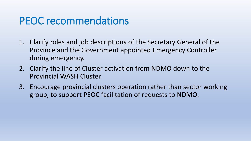## PEOC recommendations

- 1. Clarify roles and job descriptions of the Secretary General of the Province and the Government appointed Emergency Controller during emergency.
- 2. Clarify the line of Cluster activation from NDMO down to the Provincial WASH Cluster.
- 3. Encourage provincial clusters operation rather than sector working group, to support PEOC facilitation of requests to NDMO.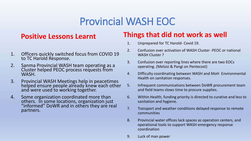## Provincial WASH EOC

#### **Positive Lessons Learnt**

- 1. Officers quickly switched focus from COVID 19 to TC Harold Response.
- 2. Sanma Provincial WASH team operating as a Cluster helped PEOC process requests from WASH.
- 3. Provincial WASH Meetings help in peacetimes helped ensure people already knew each other and were used to working together.
- 4. Some organization coordinated more than others. In some locations, organization just "informed" DoWR and in others they are real partners.

#### **Things that did not work as well**

- 1. Unprepared for TC Harold- Covid 19.
- 2. Confusion over activation of WASH Cluster -PEOC or national WASH Cluster ?
- 3. Confusion over reporting lines where there are two EOCs operating. (Melsisi & Pangi on Pentecost)
- 4. Difficulty coordinating between WASH and MoH Environmental Health on sanitation responses.
- 5. Infrequent communications between DoWR procurement team and field teams slows time to procure supplies.
- 6. Within Health, funding priority is directed to curative and less to sanitation and hygiene.
- 7. Transport and weather conditions delayed response to remote communities
- 8. Provincial water offices lack spaces as operation centers, and operational tools to support WASH emergency response coordination
- 9. Luck of man power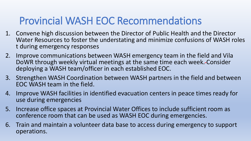## Provincial WASH EOC Recommendations

- 1. Convene high discussion between the Director of Public Health and the Director Water Resources to foster the understating and minimize confusions of WASH roles t during emergency responses
- 2. Improve communications between WASH emergency team in the field and Vila DoWR through weekly virtual meetings at the same time each week. Consider deploying a WASH team/officer in each established EOC.
- 3. Strengthen WASH Coordination between WASH partners in the field and between EOC WASH team in the field.
- 4. Improve WASH facilities in identified evacuation centers in peace times ready for use during emergencies
- 5. Increase office spaces at Provincial Water Offices to include sufficient room as conference room that can be used as WASH EOC during emergencies.
- 6. Train and maintain a volunteer data base to access during emergency to support operations.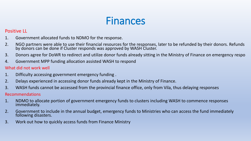## Finances

#### Positive LL

- 1. Government allocated funds to NDMO for the response.
- 2. NGO partners were able to use their financial resources for the responses, later to be refunded by their donors. Refunds by donors can be done if Cluster responds was approved by WASH Cluster.
- 3. Donors agree for DoWR to redirect and utilize donor funds already sitting in the Ministry of Finance on emergency respo
- 4. Government MPP funding allocation assisted WASH to respond

#### What did not work well

- 1. Difficulty accessing government emergency funding .
- 2. Delays experienced in accessing donor funds already kept in the Ministry of Finance.
- 3. WASH funds cannot be accessed from the provincial finance office, only from Vila, thus delaying responses

#### Recommendations

- 1. NDMO to allocate portion of government emergency funds to clusters including WASH to commence responses immediately.
- 2. Government to include in the annual budget, emergency funds to Ministries who can access the fund immediately following disasters.
- 3. Work out how to quickly access funds from Finance Ministry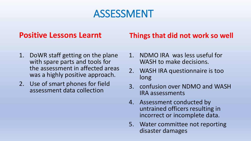### ASSESSMENT

#### **Positive Lessons Learnt**

- 1. DoWR staff getting on the plane with spare parts and tools for the assessment in affected areas was a highly positive approach.
- 2. Use of smart phones for field assessment data collection

#### **Things that did not work so well**

- 1. NDMO IRA was less useful for WASH to make decisions.
- 2. WASH IRA questionnaire is too long
- 3. confusion over NDMO and WASH IRA assessments
- 4. Assessment conducted by untrained officers resulting in incorrect or incomplete data.
- 5. Water committee not reporting disaster damages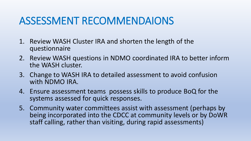## ASSESSMENT RECOMMENDAIONS

- 1. Review WASH Cluster IRA and shorten the length of the questionnaire
- 2. Review WASH questions in NDMO coordinated IRA to better inform the WASH cluster.
- 3. Change to WASH IRA to detailed assessment to avoid confusion with NDMO IRA.
- 4. Ensure assessment teams possess skills to produce BoQ for the systems assessed for quick responses.
- 5. Community water committees assist with assessment (perhaps by being incorporated into the CDCC at community levels or by DoWR staff calling, rather than visiting, during rapid assessments)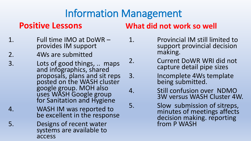## Information Management

#### **Positive Lessons**

- 1. Full time IMO at DoWR provides IM support
- 2. 4Ws are submitted
- 3. Lots of good things, .. maps and infographics, shared proposals, plans and sit reps posted on the WASH cluster google group. MOH also uses WASH Google group for Sanitation and Hygiene
- 4. WASH IM was reported to be excellent in the response
- 5. Designs of recent water systems are available to access

#### **What did not work so well**

- 1. Provincial IM still limited to support provincial decision making.
- 2. Current DoWR WRI did not capture detail pipe sizes
- 3. Incomplete 4Ws template being submitted.
- 4. Still confusion over NDMO 3W versus WASH Cluster 4W.
- 5. Slow submission of sitreps, minutes of meetings affects decision making. reporting from P WASH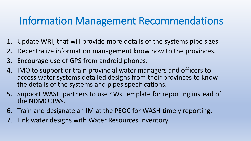## Information Management Recommendations

- 1. Update WRI, that will provide more details of the systems pipe sizes.
- 2. Decentralize information management know how to the provinces.
- 3. Encourage use of GPS from android phones.
- 4. IMO to support or train provincial water managers and officers to access water systems detailed designs from their provinces to know the details of the systems and pipes specifications.
- 5. Support WASH partners to use 4Ws template for reporting instead of the NDMO 3Ws.
- 6. Train and designate an IM at the PEOC for WASH timely reporting.
- 7. Link water designs with Water Resources Inventory.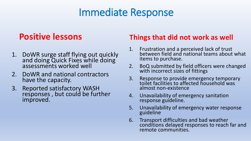## Immediate Response

#### **Positive lessons**

- 1. DoWR surge staff flying out quickly and doing Quick Fixes while doing assessments worked well
- 2. DoWR and national contractors have the capacity.
- 3. Reported satisfactory WASH responses , but could be further improved.

#### **Things that did not work as well**

- 1. Frustration and a perceived lack of trust between field and national teams about what items to purchase.
- 2. BoQ submitted by field officers were changed with incorrect sizes of fittings
- 3. Response to provide emergency temporary toilet facilities to affected household was almost non-existence
- 4. Unavailability of emergency sanitation response guideline.
- 5. Unavailability of emergency water response guideline
- 6. Transport difficulties and bad weather conditions delayed responses to reach far and remote communities.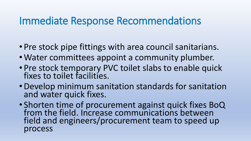### Immediate Response Recommendations

- Pre stock pipe fittings with area council sanitarians.
- Water committees appoint a community plumber.
- Pre stock temporary PVC toilet slabs to enable quick fixes to toilet facilities.
- •Develop minimum sanitation standards for sanitation and water quick fixes.
- Shorten time of procurement against quick fixes BoQ from the field. Increase communications between field and engineers/procurement team to speed up process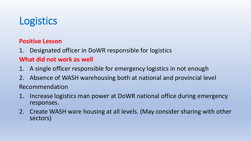## **Logistics**

#### **Positive Lesson**

1. Designated officer in DoWR responsible for logistics

#### **What did not work as well**

- 1. A single officer responsible for emergency logistics in not enough
- 2. Absence of WASH warehousing both at national and provincial level Recommendation
- 1. Increase logistics man power at DoWR national office during emergency responses.
- 2. Create WASH ware housing at all levels. (May consider sharing with other sectors)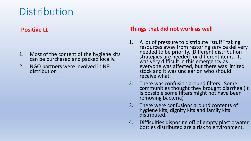## **Distribution**

#### **Positive LL**

- 1. Most of the content of the hygiene kits can be purchased and packed locally.
- 2. NGO partners were involved in NFI distribution

#### **Things that did not work as well**

- 1. A lot of pressure to distribute "stuff" taking resources away from restoring service delivery needed to be priority. Different distribution strategies are needed for different items. It was very difficult in this emergency as everyone was affected, but there was limited stock and it was unclear on who should receive what.
- 2. There was confusion around filters. Some communities thought they brought diarrhea (It is possible some filters might not have been removing bacteria)
- 3. There were confusions around contents of hygiene kits, dignity kits and family kits distributed.
- 4. Difficulties disposing off of empty plastic water bottles distributed are a risk to environment.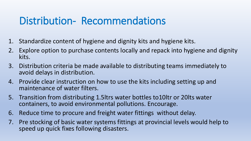## Distribution- Recommendations

- 1. Standardize content of hygiene and dignity kits and hygiene kits.
- 2. Explore option to purchase contents locally and repack into hygiene and dignity kits.
- 3. Distribution criteria be made available to distributing teams immediately to avoid delays in distribution.
- 4. Provide clear instruction on how to use the kits including setting up and maintenance of water filters.
- 5. Transition from distributing 1.5ltrs water bottles to10ltr or 20lts water containers, to avoid environmental pollutions. Encourage.
- 6. Reduce time to procure and freight water fittings without delay.
- 7. Pre stocking of basic water systems fittings at provincial levels would help to speed up quick fixes following disasters.